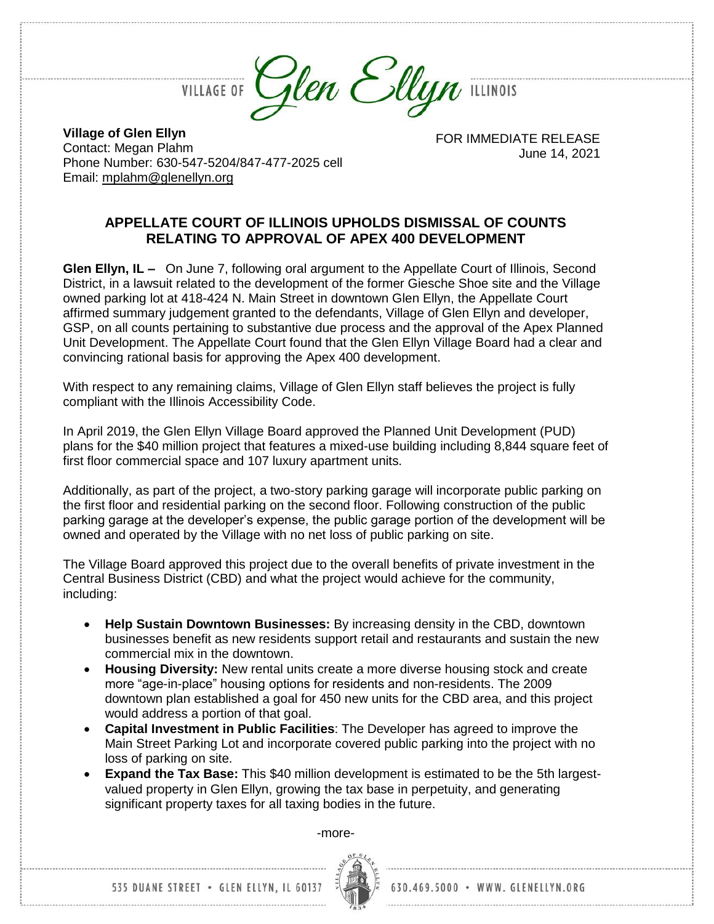**VILLAGE OF** 

Glen Ellyn ILLINOIS

**Village of Glen Ellyn** Contact: Megan Plahm Phone Number: 630-547-5204/847-477-2025 cell

Email: [mplahm@glenellyn.org](mailto:mplahm@glenellyn.org)

FOR IMMEDIATE RELEASE June 14, 2021

## **APPELLATE COURT OF ILLINOIS UPHOLDS DISMISSAL OF COUNTS RELATING TO APPROVAL OF APEX 400 DEVELOPMENT**

**Glen Ellyn, IL –** On June 7, following oral argument to the Appellate Court of Illinois, Second District, in a lawsuit related to the development of the former Giesche Shoe site and the Village owned parking lot at 418-424 N. Main Street in downtown Glen Ellyn, the Appellate Court affirmed summary judgement granted to the defendants, Village of Glen Ellyn and developer, GSP, on all counts pertaining to substantive due process and the approval of the Apex Planned Unit Development. The Appellate Court found that the Glen Ellyn Village Board had a clear and convincing rational basis for approving the Apex 400 development.

With respect to any remaining claims, Village of Glen Ellyn staff believes the project is fully compliant with the Illinois Accessibility Code.

In April 2019, the Glen Ellyn Village Board approved the Planned Unit Development (PUD) plans for the \$40 million project that features a mixed-use building including 8,844 square feet of first floor commercial space and 107 luxury apartment units.

Additionally, as part of the project, a two-story parking garage will incorporate public parking on the first floor and residential parking on the second floor. Following construction of the public parking garage at the developer's expense, the public garage portion of the development will be owned and operated by the Village with no net loss of public parking on site.

The Village Board approved this project due to the overall benefits of private investment in the Central Business District (CBD) and what the project would achieve for the community, including:

- **Help Sustain Downtown Businesses:** By increasing density in the CBD, downtown businesses benefit as new residents support retail and restaurants and sustain the new commercial mix in the downtown.
- **Housing Diversity:** New rental units create a more diverse housing stock and create more "age-in-place" housing options for residents and non-residents. The 2009 downtown plan established a goal for 450 new units for the CBD area, and this project would address a portion of that goal.
- **Capital Investment in Public Facilities**: The Developer has agreed to improve the Main Street Parking Lot and incorporate covered public parking into the project with no loss of parking on site.
- **Expand the Tax Base:** This \$40 million development is estimated to be the 5th largestvalued property in Glen Ellyn, growing the tax base in perpetuity, and generating significant property taxes for all taxing bodies in the future.

-more-



630.469.5000 · WWW. GLENELLYN.ORG